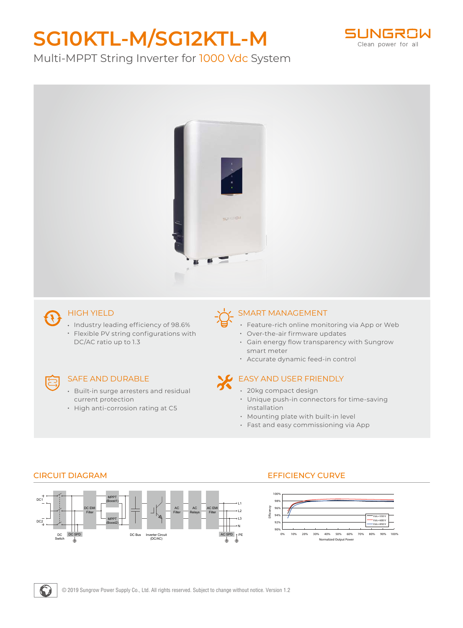# **SG10KTL-M/SG12KTL-M**



Multi-MPPT String Inverter for 1000 Vdc System



## HIGH YIELD

• Industry leading efficiency of 98.6% Flexible PV string configurations with DC/AC ratio up to 1.3

### SAFE AND DURABLE

- Built-in surge arresters and residual current protection
- High anti-corrosion rating at C5

### SMART MANAGEMENT

- Feature-rich online monitoring via App or Web
- Over-the-air firmware updates
- Gain energy flow transparency with Sungrow smart meter
- Accurate dynamic feed-in control

### EASY AND USER FRIENDLY

- 20kg compact design
- Unique push-in connectors for time-saving installation
- Mounting plate with built-in level
- Fast and easy commissioning via App



#### CIRCUIT DIAGRAM EFFICIENCY CURVE